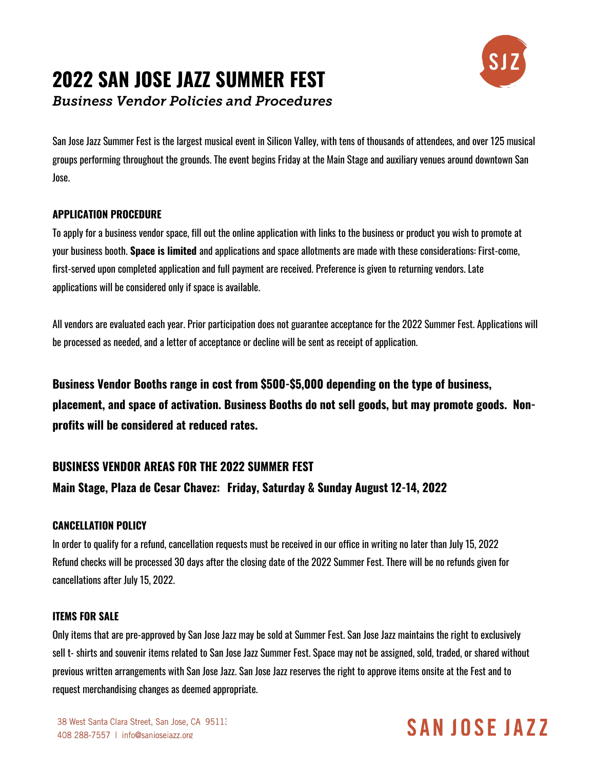# **2022 SAN JOSE JAZZ SUMMER FEST**



*Business Vendor Policies and Procedures*

San Jose Jazz Summer Fest is the largest musical event in Silicon Valley, with tens of thousands of attendees, and over 125 musical groups performing throughout the grounds. The event begins Friday at the Main Stage and auxiliary venues around downtown San Jose.

### **APPLICATION PROCEDURE**

To apply for a business vendor space, fill out the online application with links to the business or product you wish to promote at your business booth. **Space is limited** and applications and space allotments are made with these considerations: First-come, first-served upon completed application and full payment are received. Preference is given to returning vendors. Late applications will be considered only if space is available.

All vendors are evaluated each year. Prior participation does not guarantee acceptance for the 2022 Summer Fest. Applications will be processed as needed, and a letter of acceptance or decline will be sent as receipt of application.

**Business Vendor Booths range in cost from \$500-\$5,000 depending on the type of business, placement, and space of activation. Business Booths do not sell goods, but may promote goods. Nonprofits will be considered at reduced rates.**

## **BUSINESS VENDOR AREAS FOR THE 2022 SUMMER FEST**

## **Main Stage, Plaza de Cesar Chavez: Friday, Saturday & Sunday August 12-14, 2022**

### **CANCELLATION POLICY**

In order to qualify for a refund, cancellation requests must be received in our office in writing no later than July 15, 2022 Refund checks will be processed 30 days after the closing date of the 2022 Summer Fest. There will be no refunds given for cancellations after July 15, 2022.

#### **ITEMS FOR SALE**

Only items that are pre-approved by San Jose Jazz may be sold at Summer Fest. San Jose Jazz maintains the right to exclusively sell t- shirts and souvenir items related to San Jose Jazz Summer Fest. Space may not be assigned, sold, traded, or shared without previous written arrangements with San Jose Jazz. San Jose Jazz reserves the right to approve items onsite at the Fest and to request merchandising changes as deemed appropriate.

## SAN JOSE JAZZ